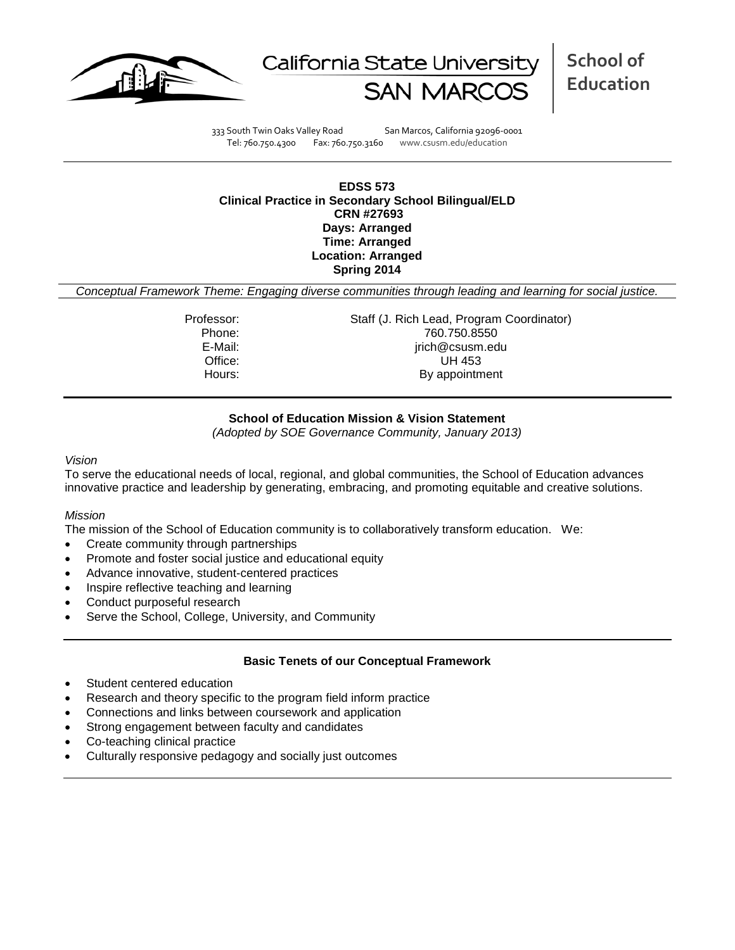



**School of Education**

333 South Twin Oaks Valley Road San Marcos, California 92096-0001 Tel: 760.750.4300 Fax: 760.750.3160 www.csusm.edu/education

### **EDSS 573 Clinical Practice in Secondary School Bilingual/ELD CRN #27693 Days: Arranged Time: Arranged Location: Arranged Spring 2014**

*Conceptual Framework Theme: Engaging diverse communities through leading and learning for social justice.*

Professor: Staff (J. Rich Lead, Program Coordinator) Phone: 760.750.8550<br>E-Mail: 760.750.8550<br>E-Mail: 760.750.8550 jrich@csusm.edu Office: UH 453 Hours: By appointment

# **School of Education Mission & Vision Statement**

*(Adopted by SOE Governance Community, January 2013)*

#### *Vision*

To serve the educational needs of local, regional, and global communities, the School of Education advances innovative practice and leadership by generating, embracing, and promoting equitable and creative solutions.

## *Mission*

The mission of the School of Education community is to collaboratively transform education. We:

- Create community through partnerships
- Promote and foster social justice and educational equity
- Advance innovative, student-centered practices
- Inspire reflective teaching and learning
- Conduct purposeful research
- Serve the School, College, University, and Community

# **Basic Tenets of our Conceptual Framework**

- Student centered education
- Research and theory specific to the program field inform practice
- Connections and links between coursework and application
- Strong engagement between faculty and candidates
- Co-teaching clinical practice
- Culturally responsive pedagogy and socially just outcomes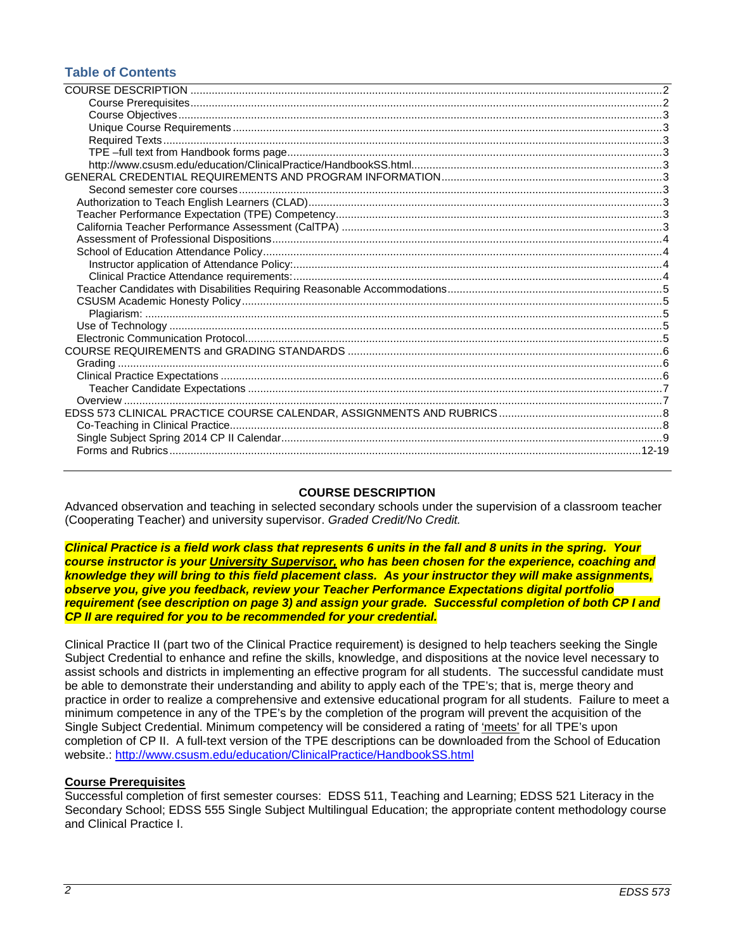# **Table of Contents**

# **COURSE DESCRIPTION**

<span id="page-1-0"></span>Advanced observation and teaching in selected secondary schools under the supervision of a classroom teacher (Cooperating Teacher) and university supervisor. *Graded Credit/No Credit.*

*Clinical Practice is a field work class that represents 6 units in the fall and 8 units in the spring. Your course instructor is your University Supervisor, who has been chosen for the experience, coaching and knowledge they will bring to this field placement class. As your instructor they will make assignments, observe you, give you feedback, review your Teacher Performance Expectations digital portfolio requirement (see description on page 3) and assign your grade. Successful completion of both CP I and CP II are required for you to be recommended for your credential.*

Clinical Practice II (part two of the Clinical Practice requirement) is designed to help teachers seeking the Single Subject Credential to enhance and refine the skills, knowledge, and dispositions at the novice level necessary to assist schools and districts in implementing an effective program for all students. The successful candidate must be able to demonstrate their understanding and ability to apply each of the TPE's; that is, merge theory and practice in order to realize a comprehensive and extensive educational program for all students. Failure to meet a minimum competence in any of the TPE's by the completion of the program will prevent the acquisition of the Single Subject Credential. Minimum competency will be considered a rating of 'meets' for all TPE's upon completion of CP II. A full-text version of the TPE descriptions can be downloaded from the School of Education website.:<http://www.csusm.edu/education/ClinicalPractice/HandbookSS.html>

## <span id="page-1-1"></span>**Course Prerequisites**

<span id="page-1-2"></span>Successful completion of first semester courses: EDSS 511, Teaching and Learning; EDSS 521 Literacy in the Secondary School; EDSS 555 Single Subject Multilingual Education; the appropriate content methodology course and Clinical Practice I.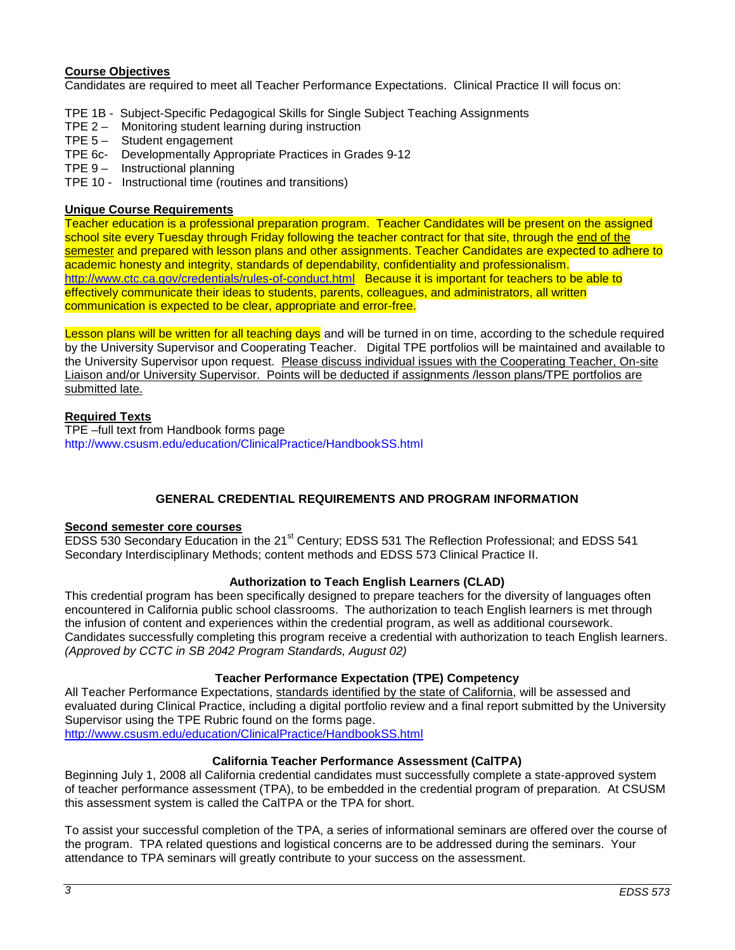# **Course Objectives**

Candidates are required to meet all Teacher Performance Expectations. Clinical Practice II will focus on:

- TPE 1B Subject-Specific Pedagogical Skills for Single Subject Teaching Assignments
- TPE 2 Monitoring student learning during instruction
- TPE 5 Student engagement
- TPE 6c- Developmentally Appropriate Practices in Grades 9-12
- TPE 9 Instructional planning
- TPE 10 Instructional time (routines and transitions)

## <span id="page-2-0"></span>**Unique Course Requirements**

Teacher education is a professional preparation program. Teacher Candidates will be present on the assigned school site every Tuesday through Friday following the teacher contract for that site, through the end of the semester and prepared with lesson plans and other assignments. Teacher Candidates are expected to adhere to academic honesty and integrity, standards of dependability, confidentiality and professionalism. <http://www.ctc.ca.gov/credentials/rules-of-conduct.html>Because it is important for teachers to be able to effectively communicate their ideas to students, parents, colleagues, and administrators, all written communication is expected to be clear, appropriate and error-free.

Lesson plans will be written for all teaching days and will be turned in on time, according to the schedule required by the University Supervisor and Cooperating Teacher. Digital TPE portfolios will be maintained and available to the University Supervisor upon request. Please discuss individual issues with the Cooperating Teacher, On-site Liaison and/or University Supervisor. Points will be deducted if assignments /lesson plans/TPE portfolios are submitted late.

## <span id="page-2-1"></span>**Required Texts**

<span id="page-2-3"></span><span id="page-2-2"></span>TPE –full text from Handbook forms page <http://www.csusm.edu/education/ClinicalPractice/HandbookSS.html>

# **GENERAL CREDENTIAL REQUIREMENTS AND PROGRAM INFORMATION**

## <span id="page-2-5"></span><span id="page-2-4"></span>**Second semester core courses**

EDSS 530 Secondary Education in the 21<sup>st</sup> Century; EDSS 531 The Reflection Professional; and EDSS 541 Secondary Interdisciplinary Methods; content methods and EDSS 573 Clinical Practice II.

## **Authorization to Teach English Learners (CLAD)**

<span id="page-2-6"></span>This credential program has been specifically designed to prepare teachers for the diversity of languages often encountered in California public school classrooms. The authorization to teach English learners is met through the infusion of content and experiences within the credential program, as well as additional coursework. Candidates successfully completing this program receive a credential with authorization to teach English learners. *(Approved by CCTC in SB 2042 Program Standards, August 02)*

## **Teacher Performance Expectation (TPE) Competency**

<span id="page-2-7"></span>All Teacher Performance Expectations, standards identified by the state of California, will be assessed and evaluated during Clinical Practice, including a digital portfolio review and a final report submitted by the University Supervisor using the TPE Rubric found on the forms page. <http://www.csusm.edu/education/ClinicalPractice/HandbookSS.html>

## **California Teacher Performance Assessment (CalTPA)**

<span id="page-2-8"></span>Beginning July 1, 2008 all California credential candidates must successfully complete a state-approved system of teacher performance assessment (TPA), to be embedded in the credential program of preparation. At CSUSM this assessment system is called the CalTPA or the TPA for short.

To assist your successful completion of the TPA, a series of informational seminars are offered over the course of the program. TPA related questions and logistical concerns are to be addressed during the seminars. Your attendance to TPA seminars will greatly contribute to your success on the assessment.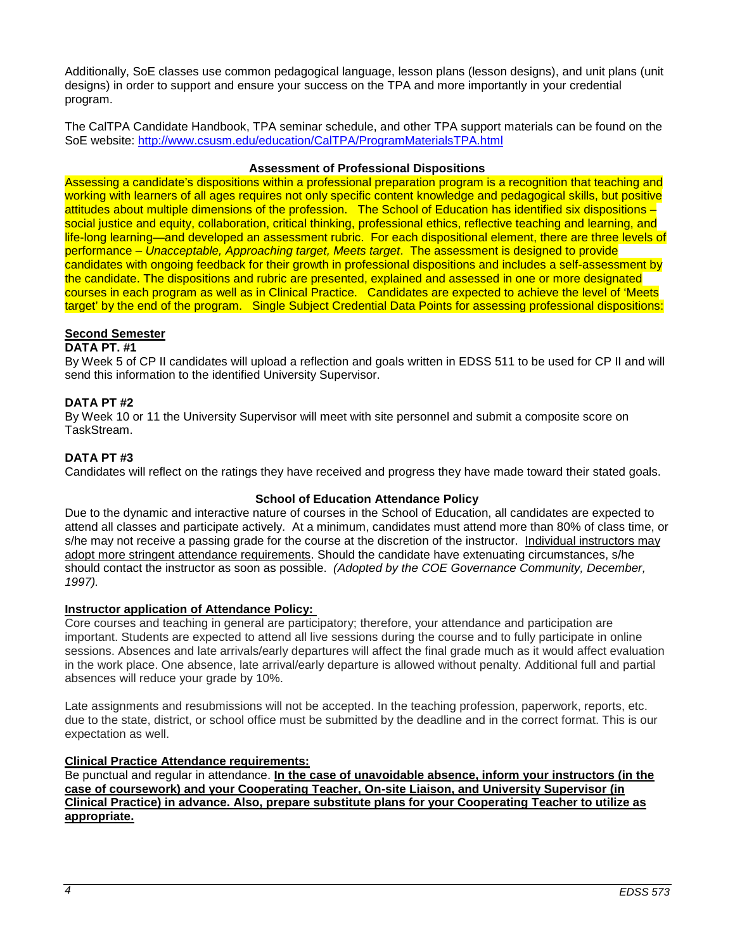Additionally, SoE classes use common pedagogical language, lesson plans (lesson designs), and unit plans (unit designs) in order to support and ensure your success on the TPA and more importantly in your credential program.

The CalTPA Candidate Handbook, TPA seminar schedule, and other TPA support materials can be found on the SoE website:<http://www.csusm.edu/education/CalTPA/ProgramMaterialsTPA.html>

## **Assessment of Professional Dispositions**

<span id="page-3-0"></span>Assessing a candidate's dispositions within a professional preparation program is a recognition that teaching and working with learners of all ages requires not only specific content knowledge and pedagogical skills, but positive attitudes about multiple dimensions of the profession. The School of Education has identified six dispositions – social justice and equity, collaboration, critical thinking, professional ethics, reflective teaching and learning, and life-long learning—and developed an assessment rubric. For each dispositional element, there are three levels of performance – *Unacceptable, Approaching target, Meets target*. The assessment is designed to provide candidates with ongoing feedback for their growth in professional dispositions and includes a self-assessment by the candidate. The dispositions and rubric are presented, explained and assessed in one or more designated courses in each program as well as in Clinical Practice. Candidates are expected to achieve the level of 'Meets target' by the end of the program. Single Subject Credential Data Points for assessing professional dispositions:

# **Second Semester**

# **DATA PT. #1**

By Week 5 of CP II candidates will upload a reflection and goals written in EDSS 511 to be used for CP II and will send this information to the identified University Supervisor.

# **DATA PT #2**

By Week 10 or 11 the University Supervisor will meet with site personnel and submit a composite score on TaskStream.

# **DATA PT #3**

Candidates will reflect on the ratings they have received and progress they have made toward their stated goals.

# **School of Education Attendance Policy**

<span id="page-3-1"></span>Due to the dynamic and interactive nature of courses in the School of Education, all candidates are expected to attend all classes and participate actively. At a minimum, candidates must attend more than 80% of class time, or s/he may not receive a passing grade for the course at the discretion of the instructor. Individual instructors may adopt more stringent attendance requirements. Should the candidate have extenuating circumstances, s/he should contact the instructor as soon as possible. *(Adopted by the COE Governance Community, December, 1997).*

## <span id="page-3-2"></span>**Instructor application of Attendance Policy:**

Core courses and teaching in general are participatory; therefore, your attendance and participation are important. Students are expected to attend all live sessions during the course and to fully participate in online sessions. Absences and late arrivals/early departures will affect the final grade much as it would affect evaluation in the work place. One absence, late arrival/early departure is allowed without penalty. Additional full and partial absences will reduce your grade by 10%.

Late assignments and resubmissions will not be accepted. In the teaching profession, paperwork, reports, etc. due to the state, district, or school office must be submitted by the deadline and in the correct format. This is our expectation as well.

## <span id="page-3-3"></span>**Clinical Practice Attendance requirements:**

Be punctual and regular in attendance. **In the case of unavoidable absence, inform your instructors (in the case of coursework) and your Cooperating Teacher, On-site Liaison, and University Supervisor (in Clinical Practice) in advance. Also, prepare substitute plans for your Cooperating Teacher to utilize as appropriate.**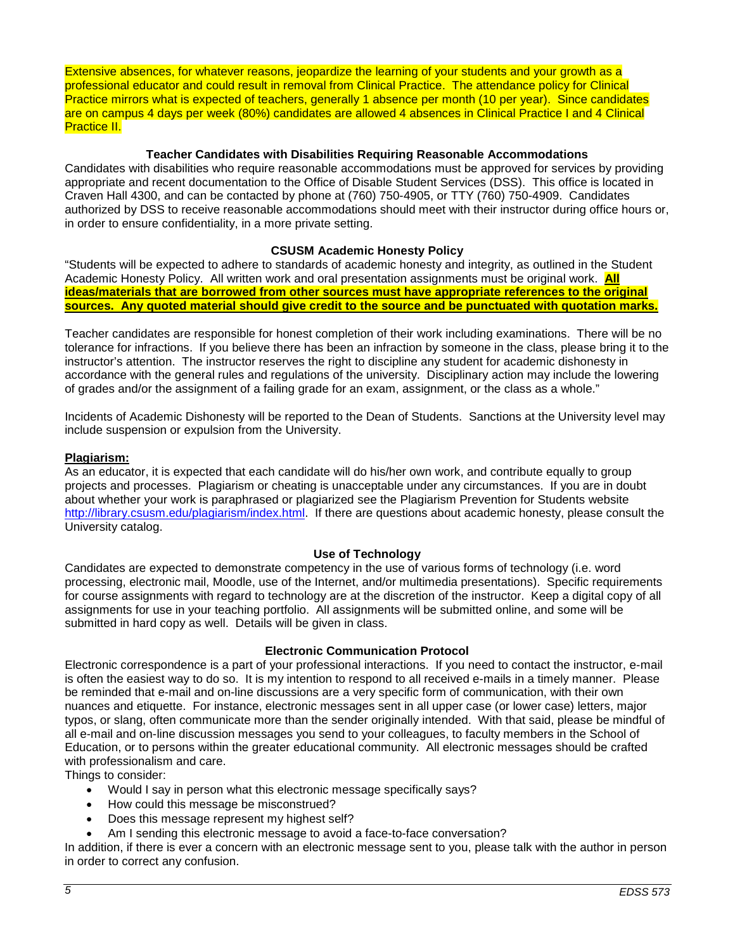Extensive absences, for whatever reasons, jeopardize the learning of your students and your growth as a professional educator and could result in removal from Clinical Practice. The attendance policy for Clinical Practice mirrors what is expected of teachers, generally 1 absence per month (10 per year). Since candidates are on campus 4 days per week (80%) candidates are allowed 4 absences in Clinical Practice I and 4 Clinical Practice II.

## **Teacher Candidates with Disabilities Requiring Reasonable Accommodations**

<span id="page-4-0"></span>Candidates with disabilities who require reasonable accommodations must be approved for services by providing appropriate and recent documentation to the Office of Disable Student Services (DSS). This office is located in Craven Hall 4300, and can be contacted by phone at (760) 750-4905, or TTY (760) 750-4909. Candidates authorized by DSS to receive reasonable accommodations should meet with their instructor during office hours or, in order to ensure confidentiality, in a more private setting.

## **CSUSM Academic Honesty Policy**

<span id="page-4-1"></span>"Students will be expected to adhere to standards of academic honesty and integrity, as outlined in the Student Academic Honesty Policy. All written work and oral presentation assignments must be original work. **All ideas/materials that are borrowed from other sources must have appropriate references to the original sources. Any quoted material should give credit to the source and be punctuated with quotation marks.**

Teacher candidates are responsible for honest completion of their work including examinations. There will be no tolerance for infractions. If you believe there has been an infraction by someone in the class, please bring it to the instructor's attention. The instructor reserves the right to discipline any student for academic dishonesty in accordance with the general rules and regulations of the university. Disciplinary action may include the lowering of grades and/or the assignment of a failing grade for an exam, assignment, or the class as a whole."

Incidents of Academic Dishonesty will be reported to the Dean of Students. Sanctions at the University level may include suspension or expulsion from the University.

#### <span id="page-4-2"></span>**Plagiarism:**

As an educator, it is expected that each candidate will do his/her own work, and contribute equally to group projects and processes. Plagiarism or cheating is unacceptable under any circumstances. If you are in doubt about whether your work is paraphrased or plagiarized see the Plagiarism Prevention for Students website [http://library.csusm.edu/plagiarism/index.html.](http://library.csusm.edu/plagiarism/index.html) If there are questions about academic honesty, please consult the University catalog.

### **Use of Technology**

<span id="page-4-3"></span>Candidates are expected to demonstrate competency in the use of various forms of technology (i.e. word processing, electronic mail, Moodle, use of the Internet, and/or multimedia presentations). Specific requirements for course assignments with regard to technology are at the discretion of the instructor. Keep a digital copy of all assignments for use in your teaching portfolio. All assignments will be submitted online, and some will be submitted in hard copy as well. Details will be given in class.

#### **Electronic Communication Protocol**

<span id="page-4-4"></span>Electronic correspondence is a part of your professional interactions. If you need to contact the instructor, e-mail is often the easiest way to do so. It is my intention to respond to all received e-mails in a timely manner. Please be reminded that e-mail and on-line discussions are a very specific form of communication, with their own nuances and etiquette. For instance, electronic messages sent in all upper case (or lower case) letters, major typos, or slang, often communicate more than the sender originally intended. With that said, please be mindful of all e-mail and on-line discussion messages you send to your colleagues, to faculty members in the School of Education, or to persons within the greater educational community. All electronic messages should be crafted with professionalism and care.

Things to consider:

- Would I say in person what this electronic message specifically says?
- How could this message be misconstrued?
- Does this message represent my highest self?
- Am I sending this electronic message to avoid a face-to-face conversation?

In addition, if there is ever a concern with an electronic message sent to you, please talk with the author in person in order to correct any confusion.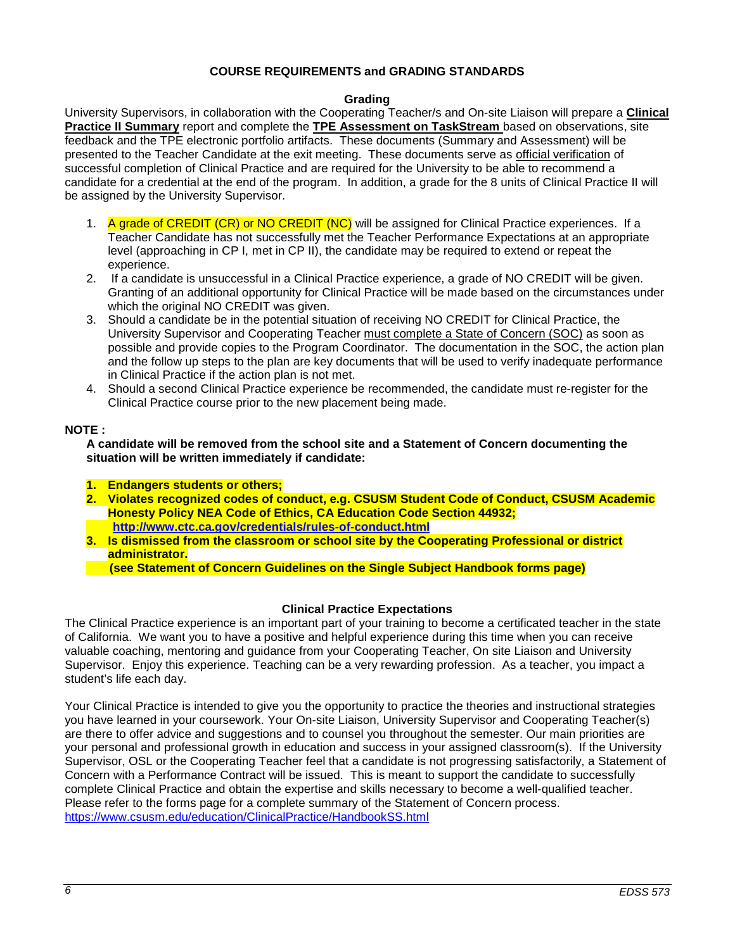# **COURSE REQUIREMENTS and GRADING STANDARDS**

### **Grading**

<span id="page-5-1"></span><span id="page-5-0"></span>University Supervisors, in collaboration with the Cooperating Teacher/s and On-site Liaison will prepare a **Clinical Practice II Summary** report and complete the **TPE Assessment on TaskStream** based on observations, site feedback and the TPE electronic portfolio artifacts. These documents (Summary and Assessment) will be presented to the Teacher Candidate at the exit meeting. These documents serve as official verification of successful completion of Clinical Practice and are required for the University to be able to recommend a candidate for a credential at the end of the program. In addition, a grade for the 8 units of Clinical Practice II will be assigned by the University Supervisor.

- 1. A grade of CREDIT (CR) or NO CREDIT (NC) will be assigned for Clinical Practice experiences. If a Teacher Candidate has not successfully met the Teacher Performance Expectations at an appropriate level (approaching in CP I, met in CP II), the candidate may be required to extend or repeat the experience.
- 2. If a candidate is unsuccessful in a Clinical Practice experience, a grade of NO CREDIT will be given. Granting of an additional opportunity for Clinical Practice will be made based on the circumstances under which the original NO CREDIT was given.
- 3. Should a candidate be in the potential situation of receiving NO CREDIT for Clinical Practice, the University Supervisor and Cooperating Teacher must complete a State of Concern (SOC) as soon as possible and provide copies to the Program Coordinator. The documentation in the SOC, the action plan and the follow up steps to the plan are key documents that will be used to verify inadequate performance in Clinical Practice if the action plan is not met.
- 4. Should a second Clinical Practice experience be recommended, the candidate must re-register for the Clinical Practice course prior to the new placement being made.

#### **NOTE :**

**A candidate will be removed from the school site and a Statement of Concern documenting the situation will be written immediately if candidate:**

- **1. Endangers students or others;**
- **2. Violates recognized codes of conduct, e.g. CSUSM Student Code of Conduct, CSUSM Academic Honesty Policy NEA Code of Ethics, CA Education Code Section 44932; <http://www.ctc.ca.gov/credentials/rules-of-conduct.html>**
- **3. Is dismissed from the classroom or school site by the Cooperating Professional or district administrator.**
	- **(see Statement of Concern Guidelines on the Single Subject Handbook forms page)**

## **Clinical Practice Expectations**

<span id="page-5-2"></span>The Clinical Practice experience is an important part of your training to become a certificated teacher in the state of California. We want you to have a positive and helpful experience during this time when you can receive valuable coaching, mentoring and guidance from your Cooperating Teacher, On site Liaison and University Supervisor. Enjoy this experience. Teaching can be a very rewarding profession. As a teacher, you impact a student's life each day.

Your Clinical Practice is intended to give you the opportunity to practice the theories and instructional strategies you have learned in your coursework. Your On-site Liaison, University Supervisor and Cooperating Teacher(s) are there to offer advice and suggestions and to counsel you throughout the semester. Our main priorities are your personal and professional growth in education and success in your assigned classroom(s). If the University Supervisor, OSL or the Cooperating Teacher feel that a candidate is not progressing satisfactorily, a Statement of Concern with a Performance Contract will be issued. This is meant to support the candidate to successfully complete Clinical Practice and obtain the expertise and skills necessary to become a well-qualified teacher. Please refer to the forms page for a complete summary of the Statement of Concern process. <https://www.csusm.edu/education/ClinicalPractice/HandbookSS.html>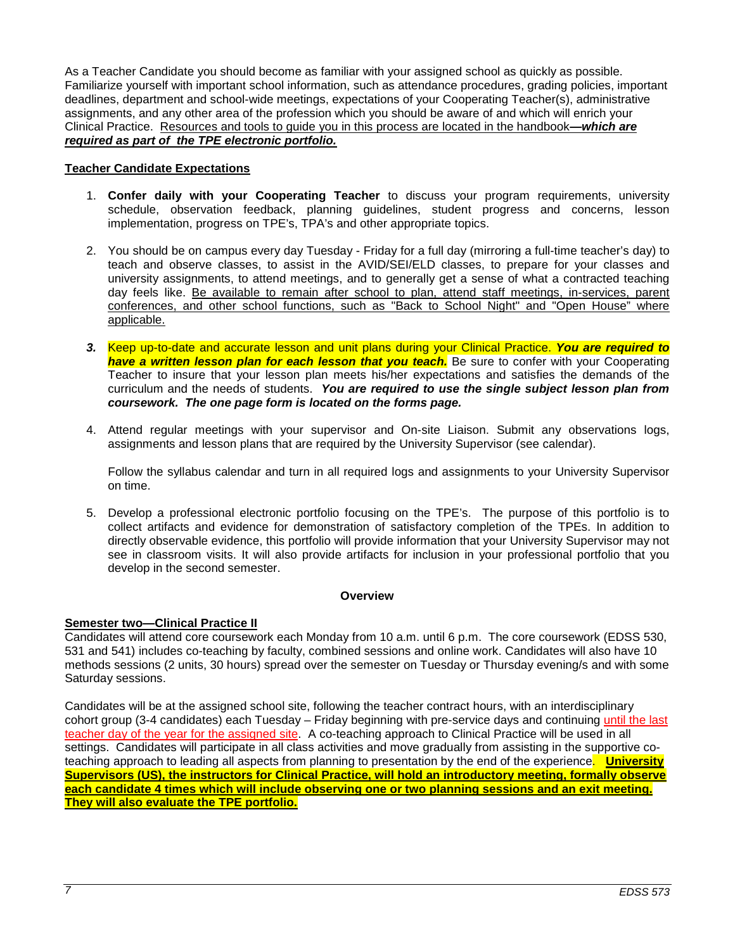As a Teacher Candidate you should become as familiar with your assigned school as quickly as possible. Familiarize yourself with important school information, such as attendance procedures, grading policies, important deadlines, department and school-wide meetings, expectations of your Cooperating Teacher(s), administrative assignments, and any other area of the profession which you should be aware of and which will enrich your Clinical Practice. Resources and tools to guide you in this process are located in the handbook**—***which are required as part of the TPE electronic portfolio.*

# <span id="page-6-0"></span>**Teacher Candidate Expectations**

- 1. **Confer daily with your Cooperating Teacher** to discuss your program requirements, university schedule, observation feedback, planning guidelines, student progress and concerns, lesson implementation, progress on TPE's, TPA's and other appropriate topics.
- 2. You should be on campus every day Tuesday Friday for a full day (mirroring a full-time teacher's day) to teach and observe classes, to assist in the AVID/SEI/ELD classes, to prepare for your classes and university assignments, to attend meetings, and to generally get a sense of what a contracted teaching day feels like. Be available to remain after school to plan, attend staff meetings, in-services, parent conferences, and other school functions, such as "Back to School Night" and "Open House" where applicable.
- *3.* Keep up-to-date and accurate lesson and unit plans during your Clinical Practice. *You are required to have a written lesson plan for each lesson that you teach.* Be sure to confer with your Cooperating Teacher to insure that your lesson plan meets his/her expectations and satisfies the demands of the curriculum and the needs of students. *You are required to use the single subject lesson plan from coursework. The one page form is located on the forms page.*
- 4. Attend regular meetings with your supervisor and On-site Liaison. Submit any observations logs, assignments and lesson plans that are required by the University Supervisor (see calendar).

Follow the syllabus calendar and turn in all required logs and assignments to your University Supervisor on time.

5. Develop a professional electronic portfolio focusing on the TPE's. The purpose of this portfolio is to collect artifacts and evidence for demonstration of satisfactory completion of the TPEs. In addition to directly observable evidence, this portfolio will provide information that your University Supervisor may not see in classroom visits. It will also provide artifacts for inclusion in your professional portfolio that you develop in the second semester.

## **Overview**

# <span id="page-6-1"></span>**Semester two—Clinical Practice II**

Candidates will attend core coursework each Monday from 10 a.m. until 6 p.m. The core coursework (EDSS 530, 531 and 541) includes co-teaching by faculty, combined sessions and online work. Candidates will also have 10 methods sessions (2 units, 30 hours) spread over the semester on Tuesday or Thursday evening/s and with some Saturday sessions.

Candidates will be at the assigned school site, following the teacher contract hours, with an interdisciplinary cohort group (3-4 candidates) each Tuesday – Friday beginning with pre-service days and continuing until the last teacher day of the year for the assigned site. A co-teaching approach to Clinical Practice will be used in all settings. Candidates will participate in all class activities and move gradually from assisting in the supportive coteaching approach to leading all aspects from planning to presentation by the end of the experience. **University Supervisors (US), the instructors for Clinical Practice, will hold an introductory meeting, formally observe each candidate 4 times which will include observing one or two planning sessions and an exit meeting. They will also evaluate the TPE portfolio.**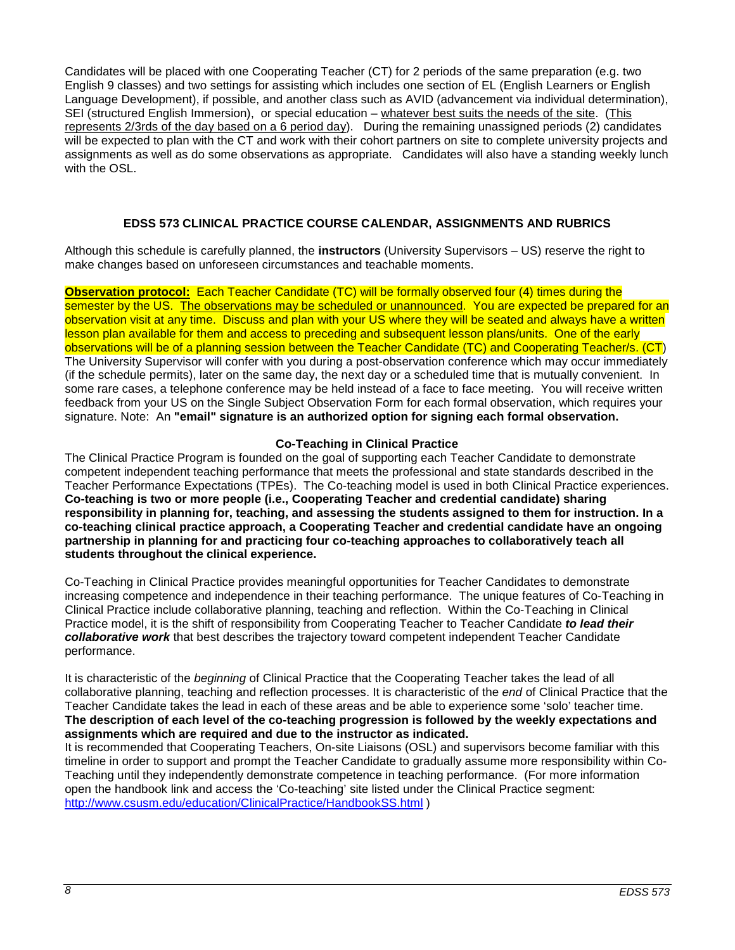Candidates will be placed with one Cooperating Teacher (CT) for 2 periods of the same preparation (e.g. two English 9 classes) and two settings for assisting which includes one section of EL (English Learners or English Language Development), if possible, and another class such as AVID (advancement via individual determination), SEI (structured English Immersion), or special education – whatever best suits the needs of the site. (This represents 2/3rds of the day based on a 6 period day). During the remaining unassigned periods (2) candidates will be expected to plan with the CT and work with their cohort partners on site to complete university projects and assignments as well as do some observations as appropriate. Candidates will also have a standing weekly lunch with the OSL.

# **EDSS 573 CLINICAL PRACTICE COURSE CALENDAR, ASSIGNMENTS AND RUBRICS**

<span id="page-7-0"></span>Although this schedule is carefully planned, the **instructors** (University Supervisors – US) reserve the right to make changes based on unforeseen circumstances and teachable moments.

**Observation protocol:** Each Teacher Candidate (TC) will be formally observed four (4) times during the semester by the US. The observations may be scheduled or unannounced. You are expected be prepared for an observation visit at any time. Discuss and plan with your US where they will be seated and always have a written lesson plan available for them and access to preceding and subsequent lesson plans/units. One of the early observations will be of a planning session between the Teacher Candidate (TC) and Cooperating Teacher/s. (CT) The University Supervisor will confer with you during a post-observation conference which may occur immediately (if the schedule permits), later on the same day, the next day or a scheduled time that is mutually convenient. In some rare cases, a telephone conference may be held instead of a face to face meeting. You will receive written feedback from your US on the Single Subject Observation Form for each formal observation, which requires your signature. Note: An **"email" signature is an authorized option for signing each formal observation.**

# **Co-Teaching in Clinical Practice**

<span id="page-7-1"></span>The Clinical Practice Program is founded on the goal of supporting each Teacher Candidate to demonstrate competent independent teaching performance that meets the professional and state standards described in the Teacher Performance Expectations (TPEs). The Co-teaching model is used in both Clinical Practice experiences. **Co-teaching is two or more people (i.e., Cooperating Teacher and credential candidate) sharing responsibility in planning for, teaching, and assessing the students assigned to them for instruction. In a co-teaching clinical practice approach, a Cooperating Teacher and credential candidate have an ongoing partnership in planning for and practicing four co-teaching approaches to collaboratively teach all students throughout the clinical experience.** 

Co-Teaching in Clinical Practice provides meaningful opportunities for Teacher Candidates to demonstrate increasing competence and independence in their teaching performance. The unique features of Co-Teaching in Clinical Practice include collaborative planning, teaching and reflection. Within the Co-Teaching in Clinical Practice model, it is the shift of responsibility from Cooperating Teacher to Teacher Candidate *to lead their collaborative work* that best describes the trajectory toward competent independent Teacher Candidate performance.

It is characteristic of the *beginning* of Clinical Practice that the Cooperating Teacher takes the lead of all collaborative planning, teaching and reflection processes. It is characteristic of the *end* of Clinical Practice that the Teacher Candidate takes the lead in each of these areas and be able to experience some 'solo' teacher time. **The description of each level of the co-teaching progression is followed by the weekly expectations and assignments which are required and due to the instructor as indicated.**

It is recommended that Cooperating Teachers, On-site Liaisons (OSL) and supervisors become familiar with this timeline in order to support and prompt the Teacher Candidate to gradually assume more responsibility within Co-Teaching until they independently demonstrate competence in teaching performance. (For more information open the handbook link and access the 'Co-teaching' site listed under the Clinical Practice segment: <http://www.csusm.edu/education/ClinicalPractice/HandbookSS.html> )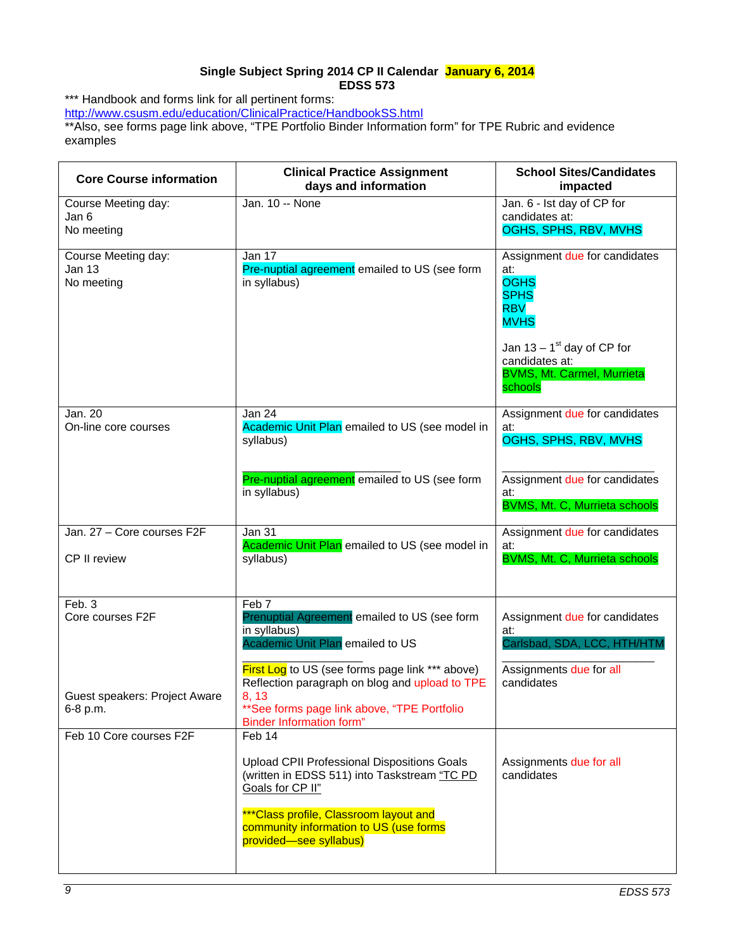# **Single Subject Spring 2014 CP II Calendar January 6, 2014 EDSS 573**

<span id="page-8-0"></span>\*\*\* Handbook and forms link for all pertinent forms:

<http://www.csusm.edu/education/ClinicalPractice/HandbookSS.html>

\*\*Also, see forms page link above, "TPE Portfolio Binder Information form" for TPE Rubric and evidence examples

| <b>Core Course information</b>                     | <b>Clinical Practice Assignment</b><br>days and information                                                                                                                                   | <b>School Sites/Candidates</b><br>impacted                                                                 |
|----------------------------------------------------|-----------------------------------------------------------------------------------------------------------------------------------------------------------------------------------------------|------------------------------------------------------------------------------------------------------------|
| Course Meeting day:<br>Jan 6<br>No meeting         | Jan. 10 -- None                                                                                                                                                                               | Jan. 6 - Ist day of CP for<br>candidates at:<br>OGHS, SPHS, RBV, MVHS                                      |
| Course Meeting day:<br><b>Jan 13</b><br>No meeting | Jan 17<br>Pre-nuptial agreement emailed to US (see form<br>in syllabus)                                                                                                                       | Assignment due for candidates<br>at:<br><b>OGHS</b><br><b>SPHS</b><br><b>RBV</b><br><b>MVHS</b>            |
|                                                    |                                                                                                                                                                                               | Jan $13 - 1$ <sup>st</sup> day of CP for<br>candidates at:<br><b>BVMS, Mt. Carmel, Murrieta</b><br>schools |
| Jan. 20<br>On-line core courses                    | Jan 24<br>Academic Unit Plan emailed to US (see model in<br>syllabus)                                                                                                                         | Assignment due for candidates<br>at:<br>OGHS, SPHS, RBV, MVHS                                              |
|                                                    | Pre-nuptial agreement emailed to US (see form<br>in syllabus)                                                                                                                                 | Assignment due for candidates<br>at:<br>BVMS, Mt. C, Murrieta schools                                      |
| Jan. 27 - Core courses F2F<br>CP II review         | Jan 31<br>Academic Unit Plan emailed to US (see model in<br>syllabus)                                                                                                                         | Assignment due for candidates<br>at:<br><b>BVMS, Mt. C, Murrieta schools</b>                               |
| Feb. 3<br>Core courses F2F                         | Feb 7<br>Prenuptial Agreement emailed to US (see form<br>in syllabus)<br>Academic Unit Plan emailed to US                                                                                     | Assignment due for candidates<br>at:<br>Carlsbad, SDA, LCC, HTH/HTM                                        |
| Guest speakers: Project Aware<br>6-8 p.m.          | First Log to US (see forms page link *** above)<br>Reflection paragraph on blog and upload to TPE<br>8, 13<br>** See forms page link above, "TPE Portfolio<br><b>Binder Information form"</b> | Assignments due for all<br>candidates                                                                      |
| Feb 10 Core courses F2F                            | Feb 14                                                                                                                                                                                        |                                                                                                            |
|                                                    | <b>Upload CPII Professional Dispositions Goals</b><br>(written in EDSS 511) into Taskstream "TC PD<br>Goals for CP II"                                                                        | Assignments due for all<br>candidates                                                                      |
|                                                    | *** Class profile, Classroom layout and<br>community information to US (use forms<br>provided-see syllabus)                                                                                   |                                                                                                            |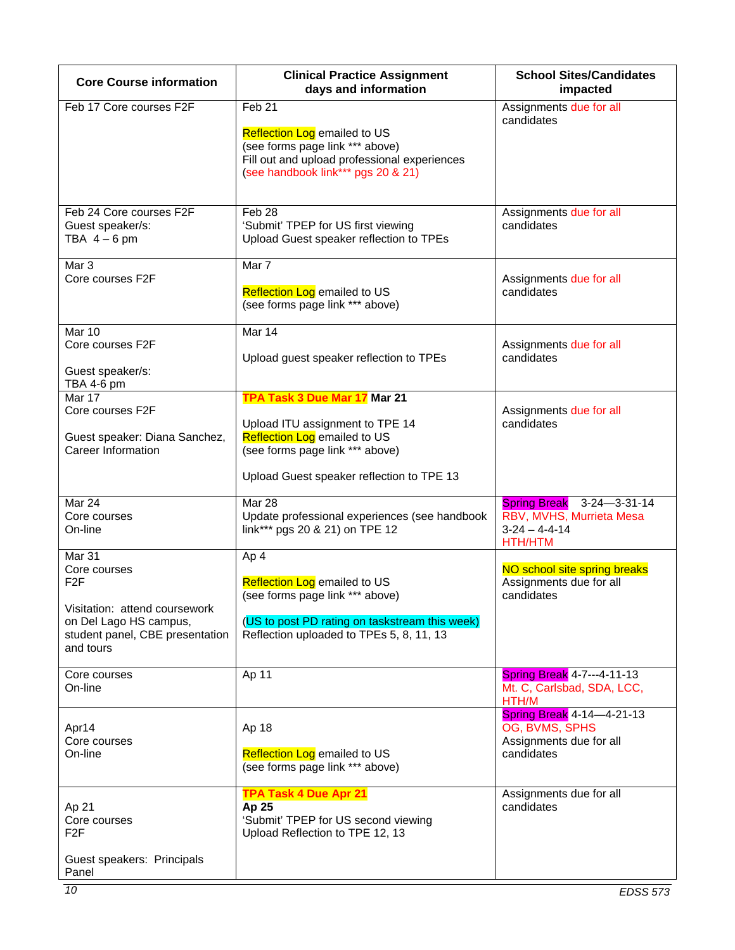| <b>Core Course information</b>                                                                                                                        | <b>Clinical Practice Assignment</b><br>days and information                                                                                                                            | <b>School Sites/Candidates</b><br>impacted                                                 |
|-------------------------------------------------------------------------------------------------------------------------------------------------------|----------------------------------------------------------------------------------------------------------------------------------------------------------------------------------------|--------------------------------------------------------------------------------------------|
| Feb 17 Core courses F2F                                                                                                                               | Feb <sub>21</sub><br><b>Reflection Log emailed to US</b><br>(see forms page link *** above)<br>Fill out and upload professional experiences<br>(see handbook link*** pgs 20 & 21)      | Assignments due for all<br>candidates                                                      |
| Feb 24 Core courses F2F<br>Guest speaker/s:<br>TBA $4-6$ pm                                                                                           | Feb <sub>28</sub><br>'Submit' TPEP for US first viewing<br>Upload Guest speaker reflection to TPEs                                                                                     | Assignments due for all<br>candidates                                                      |
| Mar 3<br>Core courses F2F                                                                                                                             | Mar 7<br>Reflection Log emailed to US<br>(see forms page link *** above)                                                                                                               | Assignments due for all<br>candidates                                                      |
| Mar 10<br>Core courses F2F<br>Guest speaker/s:<br>TBA 4-6 pm                                                                                          | Mar 14<br>Upload guest speaker reflection to TPEs                                                                                                                                      | Assignments due for all<br>candidates                                                      |
| Mar 17<br>Core courses F2F<br>Guest speaker: Diana Sanchez,<br>Career Information                                                                     | TPA Task 3 Due Mar 17 Mar 21<br>Upload ITU assignment to TPE 14<br><b>Reflection Log emailed to US</b><br>(see forms page link *** above)<br>Upload Guest speaker reflection to TPE 13 | Assignments due for all<br>candidates                                                      |
| Mar 24<br>Core courses<br>On-line                                                                                                                     | Mar 28<br>Update professional experiences (see handbook<br>link*** pgs 20 & 21) on TPE 12                                                                                              | Spring Break 3-24-3-31-14<br>RBV, MVHS, Murrieta Mesa<br>$3-24 - 4-4-14$<br><b>HTH/HTM</b> |
| Mar 31<br>Core courses<br>F <sub>2</sub> F<br>Visitation: attend coursework<br>on Del Lago HS campus,<br>student panel, CBE presentation<br>and tours | Ap 4<br><b>Reflection Log emailed to US</b><br>(see forms page link *** above)<br>(US to post PD rating on taskstream this week)<br>Reflection uploaded to TPEs 5, 8, 11, 13           | NO school site spring breaks<br>Assignments due for all<br>candidates                      |
| Core courses<br>On-line                                                                                                                               | Ap 11                                                                                                                                                                                  | Spring Break 4-7---4-11-13<br>Mt. C, Carlsbad, SDA, LCC,<br>HTH/M                          |
| Apr14<br>Core courses<br>On-line                                                                                                                      | Ap 18<br><b>Reflection Log emailed to US</b><br>(see forms page link *** above)                                                                                                        | Spring Break 4-14-4-21-13<br>OG, BVMS, SPHS<br>Assignments due for all<br>candidates       |
| Ap 21<br>Core courses<br>F <sub>2</sub> F<br>Guest speakers: Principals<br>Panel                                                                      | <b>TPA Task 4 Due Apr 21</b><br>Ap 25<br>'Submit' TPEP for US second viewing<br>Upload Reflection to TPE 12, 13                                                                        | Assignments due for all<br>candidates                                                      |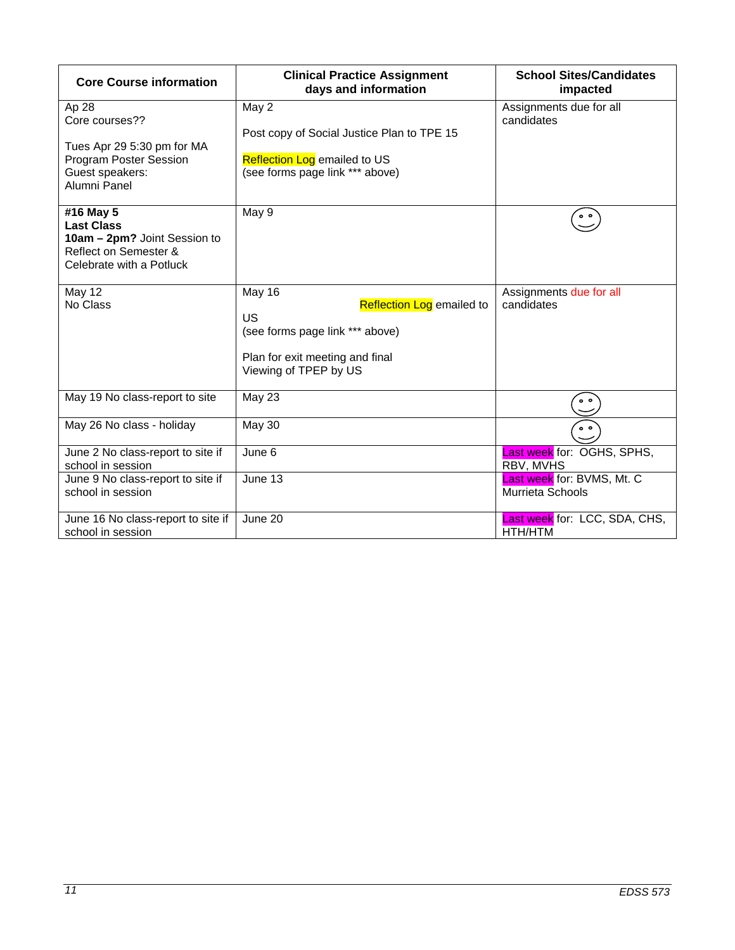| <b>Core Course information</b>                                                                                            | <b>Clinical Practice Assignment</b><br>days and information                                                                                     | <b>School Sites/Candidates</b><br>impacted     |
|---------------------------------------------------------------------------------------------------------------------------|-------------------------------------------------------------------------------------------------------------------------------------------------|------------------------------------------------|
| Ap 28<br>Core courses??<br>Tues Apr 29 5:30 pm for MA<br><b>Program Poster Session</b><br>Guest speakers:<br>Alumni Panel | May 2<br>Post copy of Social Justice Plan to TPE 15<br><b>Reflection Log emailed to US</b><br>(see forms page link *** above)                   | Assignments due for all<br>candidates          |
| #16 May 5<br><b>Last Class</b><br>10am - 2pm? Joint Session to<br>Reflect on Semester &<br>Celebrate with a Potluck       | May 9                                                                                                                                           | $^{\circ}$                                     |
| May 12<br>No Class                                                                                                        | May 16<br><b>Reflection Log emailed to</b><br>US<br>(see forms page link *** above)<br>Plan for exit meeting and final<br>Viewing of TPEP by US | Assignments due for all<br>candidates          |
| May 19 No class-report to site                                                                                            | <b>May 23</b>                                                                                                                                   | $^{\circ}$                                     |
| May 26 No class - holiday                                                                                                 | May 30                                                                                                                                          | $\circ$ $\circ$                                |
| June 2 No class-report to site if<br>school in session                                                                    | June 6                                                                                                                                          | Last week for: OGHS, SPHS,<br>RBV, MVHS        |
| June 9 No class-report to site if<br>school in session                                                                    | June 13                                                                                                                                         | Last week for: BVMS, Mt. C<br>Murrieta Schools |
| June 16 No class-report to site if<br>school in session                                                                   | June 20                                                                                                                                         | Last week for: LCC, SDA, CHS,<br>HTH/HTM       |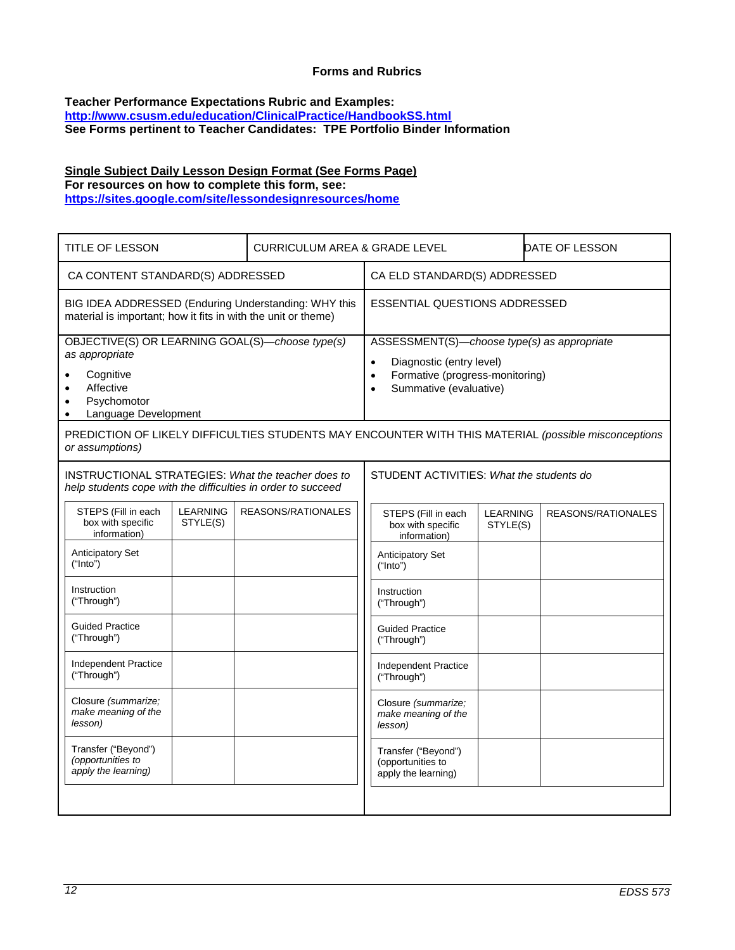## **Forms and Rubrics**

#### <span id="page-11-0"></span>**Teacher Performance Expectations Rubric and Examples: <http://www.csusm.edu/education/ClinicalPractice/HandbookSS.html> See Forms pertinent to Teacher Candidates: TPE Portfolio Binder Information**

# **Single Subject Daily Lesson Design Format (See Forms Page) For resources on how to complete this form, see:**

**<https://sites.google.com/site/lessondesignresources/home>**

| TITLE OF LESSON                                                                                                                    | CURRICULUM AREA & GRADE LEVEL |                                          |                                                                                                                                                                             |                             |                    | DATE OF LESSON |
|------------------------------------------------------------------------------------------------------------------------------------|-------------------------------|------------------------------------------|-----------------------------------------------------------------------------------------------------------------------------------------------------------------------------|-----------------------------|--------------------|----------------|
| CA CONTENT STANDARD(S) ADDRESSED                                                                                                   |                               | CA ELD STANDARD(S) ADDRESSED             |                                                                                                                                                                             |                             |                    |                |
| BIG IDEA ADDRESSED (Enduring Understanding: WHY this<br>material is important; how it fits in with the unit or theme)              |                               | <b>ESSENTIAL QUESTIONS ADDRESSED</b>     |                                                                                                                                                                             |                             |                    |                |
| OBJECTIVE(S) OR LEARNING GOAL(S)-choose type(s)<br>as appropriate<br>Cognitive<br>Affective<br>Psychomotor<br>Language Development |                               |                                          | ASSESSMENT(S)-choose type(s) as appropriate<br>Diagnostic (entry level)<br>$\bullet$<br>Formative (progress-monitoring)<br>$\bullet$<br>Summative (evaluative)<br>$\bullet$ |                             |                    |                |
| PREDICTION OF LIKELY DIFFICULTIES STUDENTS MAY ENCOUNTER WITH THIS MATERIAL (possible misconceptions<br>or assumptions)            |                               |                                          |                                                                                                                                                                             |                             |                    |                |
| INSTRUCTIONAL STRATEGIES: What the teacher does to<br>help students cope with the difficulties in order to succeed                 |                               | STUDENT ACTIVITIES: What the students do |                                                                                                                                                                             |                             |                    |                |
| STEPS (Fill in each<br><b>LEARNING</b><br>box with specific<br>STYLE(S)<br>information)                                            | REASONS/RATIONALES            |                                          | STEPS (Fill in each<br>box with specific<br>information)                                                                                                                    | <b>LEARNING</b><br>STYLE(S) | REASONS/RATIONALES |                |
| <b>Anticipatory Set</b><br>("Into")                                                                                                |                               |                                          | Anticipatory Set<br>("Into")                                                                                                                                                |                             |                    |                |
| Instruction<br>("Through")                                                                                                         |                               |                                          | Instruction<br>("Through")                                                                                                                                                  |                             |                    |                |
| <b>Guided Practice</b><br>("Through")                                                                                              |                               |                                          | <b>Guided Practice</b><br>("Through")                                                                                                                                       |                             |                    |                |
| Independent Practice<br>("Through")                                                                                                |                               |                                          | Independent Practice<br>("Through")                                                                                                                                         |                             |                    |                |
| Closure (summarize;<br>make meaning of the<br>lesson)                                                                              |                               |                                          | Closure (summarize:<br>make meaning of the<br>lesson)                                                                                                                       |                             |                    |                |
| Transfer ("Beyond")<br>(opportunities to<br>apply the learning)                                                                    |                               |                                          | Transfer ("Beyond")<br>(opportunities to<br>apply the learning)                                                                                                             |                             |                    |                |
|                                                                                                                                    |                               |                                          |                                                                                                                                                                             |                             |                    |                |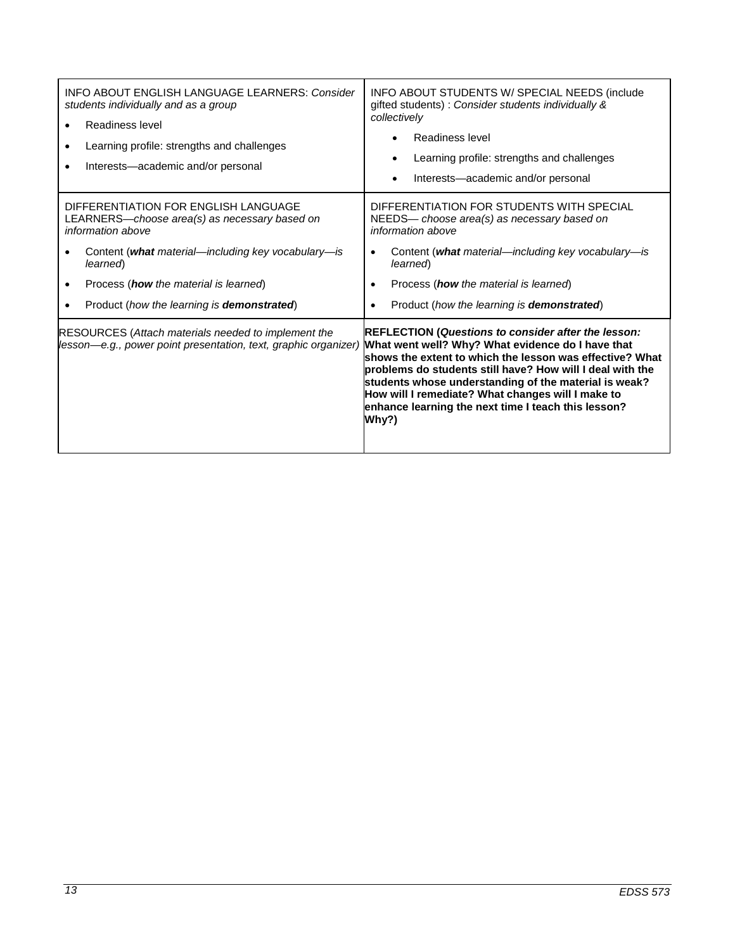| <b>INFO ABOUT ENGLISH LANGUAGE LEARNERS: Consider</b><br>students individually and as a group<br>Readiness level<br>Learning profile: strengths and challenges<br>Interests-academic and/or personal                                                                               | INFO ABOUT STUDENTS W/ SPECIAL NEEDS (include<br>gifted students) : Consider students individually &<br>collectively<br>Readiness level<br>Learning profile: strengths and challenges<br>$\bullet$<br>Interests—academic and/or personal                                                                                                                                                                               |
|------------------------------------------------------------------------------------------------------------------------------------------------------------------------------------------------------------------------------------------------------------------------------------|------------------------------------------------------------------------------------------------------------------------------------------------------------------------------------------------------------------------------------------------------------------------------------------------------------------------------------------------------------------------------------------------------------------------|
| DIFFERENTIATION FOR ENGLISH LANGUAGE<br>LEARNERS—choose area(s) as necessary based on<br>information above<br>Content (what material—including key vocabulary—is<br>learned)<br>Process ( <b>how</b> the material is learned)<br>Product (how the learning is <b>demonstrated)</b> | DIFFERENTIATION FOR STUDENTS WITH SPECIAL<br>NEEDS— choose area(s) as necessary based on<br>information above<br>Content (what material—including key vocabulary—is<br>$\bullet$<br>learned)<br>Process ( <b>how</b> the material is learned)<br>$\bullet$<br>Product (how the learning is <b>demonstrated</b> )                                                                                                       |
| <b>RESOURCES (Attach materials needed to implement the</b><br>lesson—e.g., power point presentation, text, graphic organizer)                                                                                                                                                      | <b>REFLECTION (Questions to consider after the lesson:</b><br>What went well? Why? What evidence do I have that<br>shows the extent to which the lesson was effective? What<br>problems do students still have? How will I deal with the<br>students whose understanding of the material is weak?<br>How will I remediate? What changes will I make to<br>enhance learning the next time I teach this lesson?<br>Why?) |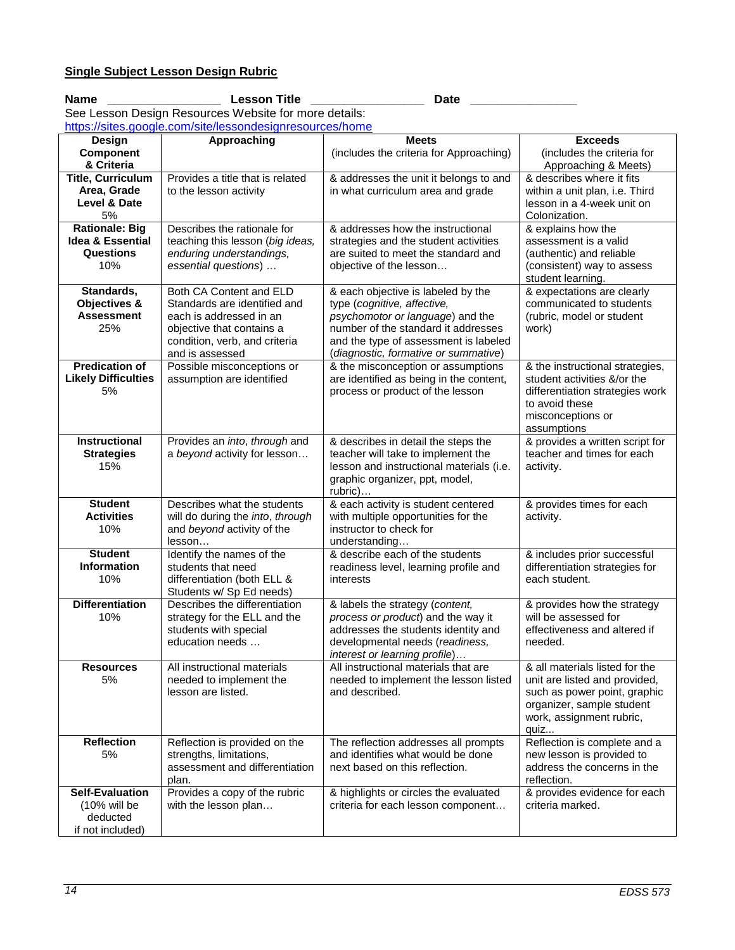## Name \_\_\_\_\_\_\_\_\_\_\_\_\_\_\_\_\_\_\_\_\_\_\_\_\_\_\_\_\_\_\_Lesson Title \_\_\_\_\_\_\_\_\_\_\_\_\_\_\_\_\_\_\_\_\_\_\_\_\_\_\_\_\_Date \_\_ See Lesson Design Resources Website for more details:

<https://sites.google.com/site/lessondesignresources/home>

|                                | <u>nitips://sites.google.com/site/lessondesign/esources/nome</u> |                                                                           | <b>Exceeds</b>                                           |
|--------------------------------|------------------------------------------------------------------|---------------------------------------------------------------------------|----------------------------------------------------------|
| Design                         | Approaching                                                      | <b>Meets</b>                                                              |                                                          |
| <b>Component</b><br>& Criteria |                                                                  | (includes the criteria for Approaching)                                   | (includes the criteria for<br>Approaching & Meets)       |
| <b>Title, Curriculum</b>       | Provides a title that is related                                 | & addresses the unit it belongs to and                                    | & describes where it fits                                |
| Area, Grade                    | to the lesson activity                                           | in what curriculum area and grade                                         | within a unit plan, i.e. Third                           |
| Level & Date                   |                                                                  |                                                                           | lesson in a 4-week unit on                               |
| 5%                             |                                                                  |                                                                           | Colonization.                                            |
| <b>Rationale: Big</b>          | Describes the rationale for                                      | & addresses how the instructional                                         | & explains how the                                       |
| <b>Idea &amp; Essential</b>    | teaching this lesson (big ideas,                                 | strategies and the student activities                                     | assessment is a valid                                    |
| <b>Questions</b>               | enduring understandings,                                         | are suited to meet the standard and                                       | (authentic) and reliable                                 |
| 10%                            | essential questions)                                             | objective of the lesson                                                   | (consistent) way to assess                               |
|                                |                                                                  |                                                                           | student learning.                                        |
| Standards,                     | Both CA Content and ELD                                          | & each objective is labeled by the                                        | & expectations are clearly                               |
| Objectives &                   | Standards are identified and                                     | type (cognitive, affective,                                               | communicated to students                                 |
| <b>Assessment</b>              | each is addressed in an                                          | psychomotor or language) and the                                          | (rubric, model or student                                |
| 25%                            | objective that contains a                                        | number of the standard it addresses                                       | work)                                                    |
|                                | condition, verb, and criteria                                    | and the type of assessment is labeled                                     |                                                          |
|                                | and is assessed                                                  | (diagnostic, formative or summative)                                      |                                                          |
| <b>Predication of</b>          | Possible misconceptions or                                       | & the misconception or assumptions                                        | & the instructional strategies,                          |
| <b>Likely Difficulties</b>     | assumption are identified                                        | are identified as being in the content,                                   | student activities &/or the                              |
| 5%                             |                                                                  | process or product of the lesson                                          | differentiation strategies work<br>to avoid these        |
|                                |                                                                  |                                                                           | misconceptions or                                        |
|                                |                                                                  |                                                                           | assumptions                                              |
| Instructional                  | Provides an into, through and                                    | & describes in detail the steps the                                       | & provides a written script for                          |
| <b>Strategies</b>              | a beyond activity for lesson                                     | teacher will take to implement the                                        | teacher and times for each                               |
| 15%                            |                                                                  | lesson and instructional materials (i.e.                                  | activity.                                                |
|                                |                                                                  | graphic organizer, ppt, model,                                            |                                                          |
|                                |                                                                  | rubric)                                                                   |                                                          |
| <b>Student</b>                 | Describes what the students                                      | & each activity is student centered                                       | & provides times for each                                |
| <b>Activities</b>              | will do during the into, through                                 | with multiple opportunities for the                                       | activity.                                                |
| 10%                            | and beyond activity of the                                       | instructor to check for                                                   |                                                          |
|                                | lesson                                                           | understanding                                                             |                                                          |
| <b>Student</b>                 | Identify the names of the                                        | & describe each of the students                                           | & includes prior successful                              |
| <b>Information</b><br>10%      | students that need                                               | readiness level, learning profile and                                     | differentiation strategies for                           |
|                                | differentiation (both ELL &<br>Students w/ Sp Ed needs)          | interests                                                                 | each student.                                            |
| <b>Differentiation</b>         | Describes the differentiation                                    | & labels the strategy (content,                                           | & provides how the strategy                              |
| 10%                            | strategy for the ELL and the                                     | process or product) and the way it                                        | will be assessed for                                     |
|                                | students with special                                            | addresses the students identity and                                       | effectiveness and altered if                             |
|                                | education needs                                                  | developmental needs (readiness,                                           | needed.                                                  |
|                                |                                                                  | interest or learning profile)                                             |                                                          |
| <b>Resources</b>               | All instructional materials                                      | All instructional materials that are                                      | & all materials listed for the                           |
| 5%                             | needed to implement the                                          | needed to implement the lesson listed                                     | unit are listed and provided,                            |
|                                | lesson are listed.                                               | and described.                                                            | such as power point, graphic                             |
|                                |                                                                  |                                                                           | organizer, sample student                                |
|                                |                                                                  |                                                                           | work, assignment rubric,                                 |
|                                |                                                                  |                                                                           | quiz                                                     |
| <b>Reflection</b>              | Reflection is provided on the                                    | The reflection addresses all prompts<br>and identifies what would be done | Reflection is complete and a                             |
| 5%                             | strengths, limitations,<br>assessment and differentiation        | next based on this reflection.                                            | new lesson is provided to<br>address the concerns in the |
|                                | plan.                                                            |                                                                           | reflection.                                              |
| <b>Self-Evaluation</b>         | Provides a copy of the rubric                                    | & highlights or circles the evaluated                                     | & provides evidence for each                             |
| (10% will be                   | with the lesson plan                                             | criteria for each lesson component                                        | criteria marked.                                         |
| deducted                       |                                                                  |                                                                           |                                                          |
| if not included)               |                                                                  |                                                                           |                                                          |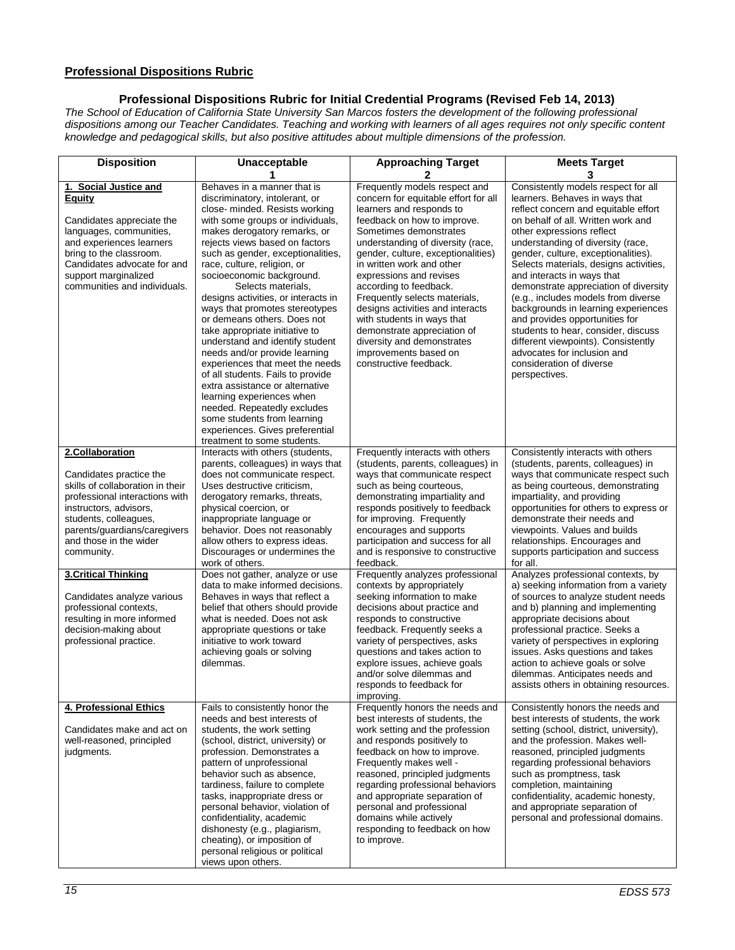# **Professional Dispositions Rubric**

**Professional Dispositions Rubric for Initial Credential Programs (Revised Feb 14, 2013)**

*The School of Education of California State University San Marcos fosters the development of the following professional dispositions among our Teacher Candidates. Teaching and working with learners of all ages requires not only specific content knowledge and pedagogical skills, but also positive attitudes about multiple dimensions of the profession.* 

| <b>Disposition</b>                                                                                                                                                                                                                           | Unacceptable                                                                                                                                                                                                                                                                                                                                                                                                                                                                                                                                                                                                                                                                                                                                                                                                       | <b>Approaching Target</b>                                                                                                                                                                                                                                                                                                                                                                                                                                                                                                                  | <b>Meets Target</b><br>3                                                                                                                                                                                                                                                                                                                                                                                                                                                                                                                                                                                                                                |
|----------------------------------------------------------------------------------------------------------------------------------------------------------------------------------------------------------------------------------------------|--------------------------------------------------------------------------------------------------------------------------------------------------------------------------------------------------------------------------------------------------------------------------------------------------------------------------------------------------------------------------------------------------------------------------------------------------------------------------------------------------------------------------------------------------------------------------------------------------------------------------------------------------------------------------------------------------------------------------------------------------------------------------------------------------------------------|--------------------------------------------------------------------------------------------------------------------------------------------------------------------------------------------------------------------------------------------------------------------------------------------------------------------------------------------------------------------------------------------------------------------------------------------------------------------------------------------------------------------------------------------|---------------------------------------------------------------------------------------------------------------------------------------------------------------------------------------------------------------------------------------------------------------------------------------------------------------------------------------------------------------------------------------------------------------------------------------------------------------------------------------------------------------------------------------------------------------------------------------------------------------------------------------------------------|
| 1. Social Justice and<br><b>Equity</b><br>Candidates appreciate the<br>languages, communities,<br>and experiences learners<br>bring to the classroom.<br>Candidates advocate for and<br>support marginalized<br>communities and individuals. | Behaves in a manner that is<br>discriminatory, intolerant, or<br>close- minded. Resists working<br>with some groups or individuals,<br>makes derogatory remarks, or<br>rejects views based on factors<br>such as gender, exceptionalities,<br>race, culture, religion, or<br>socioeconomic background.<br>Selects materials,<br>designs activities, or interacts in<br>ways that promotes stereotypes<br>or demeans others. Does not<br>take appropriate initiative to<br>understand and identify student<br>needs and/or provide learning<br>experiences that meet the needs<br>of all students. Fails to provide<br>extra assistance or alternative<br>learning experiences when<br>needed. Repeatedly excludes<br>some students from learning<br>experiences. Gives preferential<br>treatment to some students. | Frequently models respect and<br>concern for equitable effort for all<br>learners and responds to<br>feedback on how to improve.<br>Sometimes demonstrates<br>understanding of diversity (race,<br>gender, culture, exceptionalities)<br>in written work and other<br>expressions and revises<br>according to feedback.<br>Frequently selects materials,<br>designs activities and interacts<br>with students in ways that<br>demonstrate appreciation of<br>diversity and demonstrates<br>improvements based on<br>constructive feedback. | Consistently models respect for all<br>learners. Behaves in ways that<br>reflect concern and equitable effort<br>on behalf of all. Written work and<br>other expressions reflect<br>understanding of diversity (race,<br>gender, culture, exceptionalities).<br>Selects materials, designs activities,<br>and interacts in ways that<br>demonstrate appreciation of diversity<br>(e.g., includes models from diverse<br>backgrounds in learning experiences<br>and provides opportunities for<br>students to hear, consider, discuss<br>different viewpoints). Consistently<br>advocates for inclusion and<br>consideration of diverse<br>perspectives. |
| 2.Collaboration<br>Candidates practice the<br>skills of collaboration in their<br>professional interactions with<br>instructors, advisors,<br>students, colleagues,<br>parents/guardians/caregivers<br>and those in the wider<br>community.  | Interacts with others (students,<br>parents, colleagues) in ways that<br>does not communicate respect.<br>Uses destructive criticism,<br>derogatory remarks, threats,<br>physical coercion, or<br>inappropriate language or<br>behavior. Does not reasonably<br>allow others to express ideas.<br>Discourages or undermines the<br>work of others.                                                                                                                                                                                                                                                                                                                                                                                                                                                                 | Frequently interacts with others<br>(students, parents, colleagues) in<br>ways that communicate respect<br>such as being courteous,<br>demonstrating impartiality and<br>responds positively to feedback<br>for improving. Frequently<br>encourages and supports<br>participation and success for all<br>and is responsive to constructive<br>feedback.                                                                                                                                                                                    | Consistently interacts with others<br>(students, parents, colleagues) in<br>ways that communicate respect such<br>as being courteous, demonstrating<br>impartiality, and providing<br>opportunities for others to express or<br>demonstrate their needs and<br>viewpoints. Values and builds<br>relationships. Encourages and<br>supports participation and success<br>for all.                                                                                                                                                                                                                                                                         |
| <b>3.Critical Thinking</b><br>Candidates analyze various<br>professional contexts,<br>resulting in more informed<br>decision-making about<br>professional practice.                                                                          | Does not gather, analyze or use<br>data to make informed decisions.<br>Behaves in ways that reflect a<br>belief that others should provide<br>what is needed. Does not ask<br>appropriate questions or take<br>initiative to work toward<br>achieving goals or solving<br>dilemmas.                                                                                                                                                                                                                                                                                                                                                                                                                                                                                                                                | Frequently analyzes professional<br>contexts by appropriately<br>seeking information to make<br>decisions about practice and<br>responds to constructive<br>feedback. Frequently seeks a<br>variety of perspectives, asks<br>questions and takes action to<br>explore issues, achieve goals<br>and/or solve dilemmas and<br>responds to feedback for<br>improving.                                                                                                                                                                         | Analyzes professional contexts, by<br>a) seeking information from a variety<br>of sources to analyze student needs<br>and b) planning and implementing<br>appropriate decisions about<br>professional practice. Seeks a<br>variety of perspectives in exploring<br>issues. Asks questions and takes<br>action to achieve goals or solve<br>dilemmas. Anticipates needs and<br>assists others in obtaining resources.                                                                                                                                                                                                                                    |
| 4. Professional Ethics<br>Candidates make and act on<br>well-reasoned, principled<br>judgments.                                                                                                                                              | Fails to consistently honor the<br>needs and best interests of<br>students, the work setting<br>(school, district, university) or<br>profession. Demonstrates a<br>pattern of unprofessional<br>behavior such as absence,<br>tardiness, failure to complete<br>tasks, inappropriate dress or<br>personal behavior, violation of<br>confidentiality, academic<br>dishonesty (e.g., plagiarism,<br>cheating), or imposition of<br>personal religious or political<br>views upon others.                                                                                                                                                                                                                                                                                                                              | Frequently honors the needs and<br>best interests of students, the<br>work setting and the profession<br>and responds positively to<br>feedback on how to improve.<br>Frequently makes well -<br>reasoned, principled judgments<br>regarding professional behaviors<br>and appropriate separation of<br>personal and professional<br>domains while actively<br>responding to feedback on how<br>to improve.                                                                                                                                | Consistently honors the needs and<br>best interests of students, the work<br>setting (school, district, university),<br>and the profession. Makes well-<br>reasoned, principled judgments<br>regarding professional behaviors<br>such as promptness, task<br>completion, maintaining<br>confidentiality, academic honesty,<br>and appropriate separation of<br>personal and professional domains.                                                                                                                                                                                                                                                       |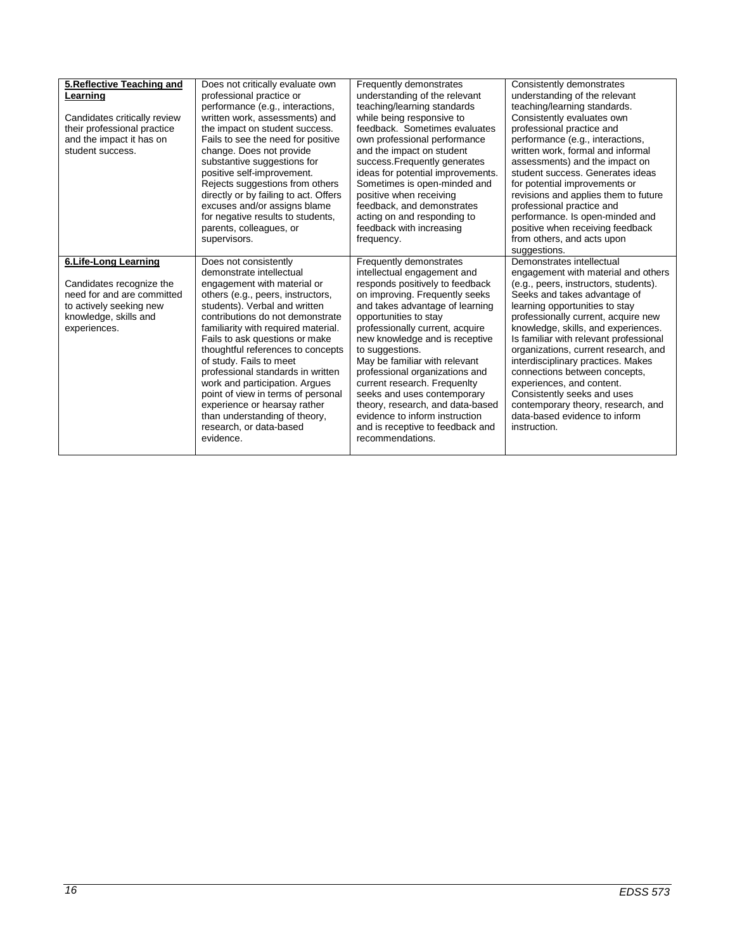| 5. Reflective Teaching and<br>Learning<br>Candidates critically review<br>their professional practice<br>and the impact it has on<br>student success. | Does not critically evaluate own<br>professional practice or<br>performance (e.g., interactions,<br>written work, assessments) and<br>the impact on student success.<br>Fails to see the need for positive<br>change. Does not provide<br>substantive suggestions for<br>positive self-improvement.<br>Rejects suggestions from others<br>directly or by failing to act. Offers<br>excuses and/or assigns blame<br>for negative results to students,<br>parents, colleagues, or<br>supervisors.                                                           | Frequently demonstrates<br>understanding of the relevant<br>teaching/learning standards<br>while being responsive to<br>feedback. Sometimes evaluates<br>own professional performance<br>and the impact on student<br>success. Frequently generates<br>ideas for potential improvements.<br>Sometimes is open-minded and<br>positive when receiving<br>feedback, and demonstrates<br>acting on and responding to<br>feedback with increasing<br>frequency.                                                                                      | Consistently demonstrates<br>understanding of the relevant<br>teaching/learning standards.<br>Consistently evaluates own<br>professional practice and<br>performance (e.g., interactions,<br>written work, formal and informal<br>assessments) and the impact on<br>student success. Generates ideas<br>for potential improvements or<br>revisions and applies them to future<br>professional practice and<br>performance. Is open-minded and<br>positive when receiving feedback<br>from others, and acts upon<br>suggestions.                                       |
|-------------------------------------------------------------------------------------------------------------------------------------------------------|-----------------------------------------------------------------------------------------------------------------------------------------------------------------------------------------------------------------------------------------------------------------------------------------------------------------------------------------------------------------------------------------------------------------------------------------------------------------------------------------------------------------------------------------------------------|-------------------------------------------------------------------------------------------------------------------------------------------------------------------------------------------------------------------------------------------------------------------------------------------------------------------------------------------------------------------------------------------------------------------------------------------------------------------------------------------------------------------------------------------------|-----------------------------------------------------------------------------------------------------------------------------------------------------------------------------------------------------------------------------------------------------------------------------------------------------------------------------------------------------------------------------------------------------------------------------------------------------------------------------------------------------------------------------------------------------------------------|
| 6.Life-Long Learning<br>Candidates recognize the<br>need for and are committed<br>to actively seeking new<br>knowledge, skills and<br>experiences.    | Does not consistently<br>demonstrate intellectual<br>engagement with material or<br>others (e.g., peers, instructors,<br>students). Verbal and written<br>contributions do not demonstrate<br>familiarity with required material.<br>Fails to ask questions or make<br>thoughtful references to concepts<br>of study. Fails to meet<br>professional standards in written<br>work and participation. Argues<br>point of view in terms of personal<br>experience or hearsay rather<br>than understanding of theory,<br>research, or data-based<br>evidence. | Frequently demonstrates<br>intellectual engagement and<br>responds positively to feedback<br>on improving. Frequently seeks<br>and takes advantage of learning<br>opportunities to stay<br>professionally current, acquire<br>new knowledge and is receptive<br>to suggestions.<br>May be familiar with relevant<br>professional organizations and<br>current research. Frequenlty<br>seeks and uses contemporary<br>theory, research, and data-based<br>evidence to inform instruction<br>and is receptive to feedback and<br>recommendations. | Demonstrates intellectual<br>engagement with material and others<br>(e.g., peers, instructors, students).<br>Seeks and takes advantage of<br>learning opportunities to stay<br>professionally current, acquire new<br>knowledge, skills, and experiences.<br>Is familiar with relevant professional<br>organizations, current research, and<br>interdisciplinary practices. Makes<br>connections between concepts,<br>experiences, and content.<br>Consistently seeks and uses<br>contemporary theory, research, and<br>data-based evidence to inform<br>instruction. |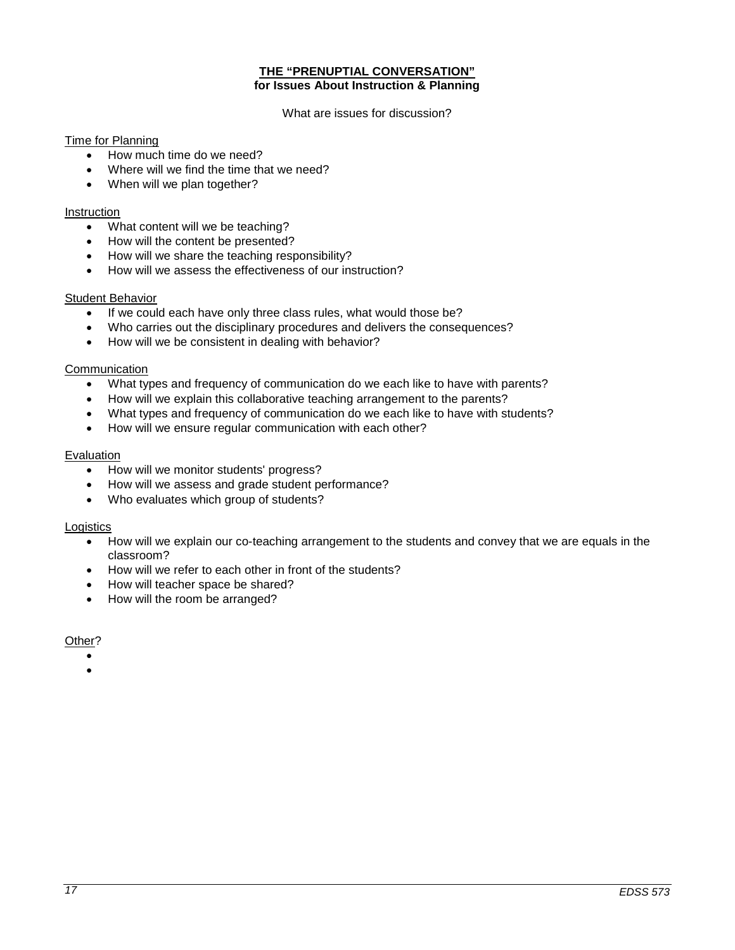# **THE "PRENUPTIAL CONVERSATION" for Issues About Instruction & Planning**

What are issues for discussion?

# Time for Planning

- How much time do we need?
- Where will we find the time that we need?
- When will we plan together?

### Instruction

- What content will we be teaching?
- How will the content be presented?
- How will we share the teaching responsibility?
- How will we assess the effectiveness of our instruction?

#### Student Behavior

- If we could each have only three class rules, what would those be?
- Who carries out the disciplinary procedures and delivers the consequences?
- How will we be consistent in dealing with behavior?

# Communication

- What types and frequency of communication do we each like to have with parents?
- How will we explain this collaborative teaching arrangement to the parents?
- What types and frequency of communication do we each like to have with students?
- How will we ensure regular communication with each other?

#### Evaluation

- How will we monitor students' progress?
- How will we assess and grade student performance?
- Who evaluates which group of students?

## **Logistics**

- How will we explain our co-teaching arrangement to the students and convey that we are equals in the classroom?
- How will we refer to each other in front of the students?
- How will teacher space be shared?
- How will the room be arranged?

## Other?

- •
- •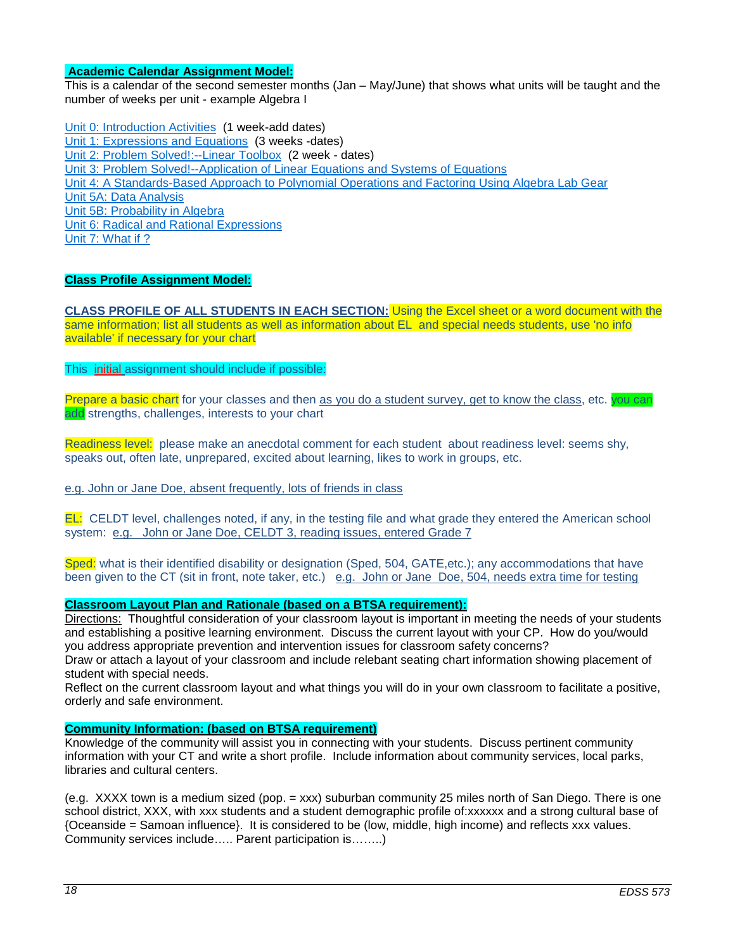## **Academic Calendar Assignment Model:**

This is a calendar of the second semester months (Jan – May/June) that shows what units will be taught and the number of weeks per unit - example Algebra I

Unit 0: [Introduction Activities](http://wveis.k12.wv.us/teach21/public/Uplans/UPview.cfm?action=V1&tsele1=2&tsele2=116&tsele3i=573) (1 week-add dates) [Unit 1: Expressions and Equations](http://wveis.k12.wv.us/teach21/public/Uplans/UPview.cfm?action=V1&tsele1=2&tsele2=116&tsele3i=570) (3 weeks -dates) [Unit 2: Problem Solved!:--Linear Toolbox](http://wveis.k12.wv.us/teach21/public/Uplans/UPview.cfm?action=V1&tsele1=2&tsele2=116&tsele3i=572) (2 week - dates) [Unit 3: Problem Solved!--Application of Linear Equations and Systems of Equations](http://wveis.k12.wv.us/teach21/public/Uplans/UPview.cfm?action=V1&tsele1=2&tsele2=116&tsele3i=566) [Unit 4: A Standards-Based Approach to Polynomial Operations and Factoring Using Algebra Lab Gear](http://wveis.k12.wv.us/teach21/public/Uplans/UPview.cfm?action=V1&tsele1=2&tsele2=116&tsele3i=569) [Unit 5A: Data Analysis](http://wveis.k12.wv.us/teach21/public/Uplans/UPview.cfm?action=V1&tsele1=2&tsele2=116&tsele3i=567) [Unit 5B: Probability in Algebra](http://wveis.k12.wv.us/teach21/public/Uplans/UPview.cfm?action=V1&tsele1=2&tsele2=116&tsele3i=565) [Unit 6: Radical and Rational Expressions](http://wveis.k12.wv.us/teach21/public/Uplans/UPview.cfm?action=V1&tsele1=2&tsele2=116&tsele3i=568) Unit 7: What if ?

## **Class Profile Assignment Model:**

**CLASS PROFILE OF ALL STUDENTS IN EACH SECTION:** Using the Excel sheet or a word document with the same information; list all students as well as information about EL and special needs students, use 'no info available' if necessary for your chart

This initial assignment should include if possible:

Prepare a basic chart for your classes and then as you do a student survey, get to know the class, etc. you can add strengths, challenges, interests to your chart

Readiness level: please make an anecdotal comment for each student about readiness level: seems shy, speaks out, often late, unprepared, excited about learning, likes to work in groups, etc.

e.g. John or Jane Doe, absent frequently, lots of friends in class

EL: CELDT level, challenges noted, if any, in the testing file and what grade they entered the American school system: e.g. John or Jane Doe, CELDT 3, reading issues, entered Grade 7

Sped: what is their identified disability or designation (Sped, 504, GATE,etc.); any accommodations that have been given to the CT (sit in front, note taker, etc.) e.g. John or Jane Doe, 504, needs extra time for testing

## **Classroom Layout Plan and Rationale (based on a BTSA requirement):**

Directions: Thoughtful consideration of your classroom layout is important in meeting the needs of your students and establishing a positive learning environment. Discuss the current layout with your CP. How do you/would you address appropriate prevention and intervention issues for classroom safety concerns?

Draw or attach a layout of your classroom and include relebant seating chart information showing placement of student with special needs.

Reflect on the current classroom layout and what things you will do in your own classroom to facilitate a positive, orderly and safe environment.

## **Community Information: (based on BTSA requirement)**

Knowledge of the community will assist you in connecting with your students. Discuss pertinent community information with your CT and write a short profile. Include information about community services, local parks, libraries and cultural centers.

(e.g. XXXX town is a medium sized (pop. = xxx) suburban community 25 miles north of San Diego. There is one school district, XXX, with xxx students and a student demographic profile of:xxxxxx and a strong cultural base of {Oceanside = Samoan influence}. It is considered to be (low, middle, high income) and reflects xxx values. Community services include….. Parent participation is……..)